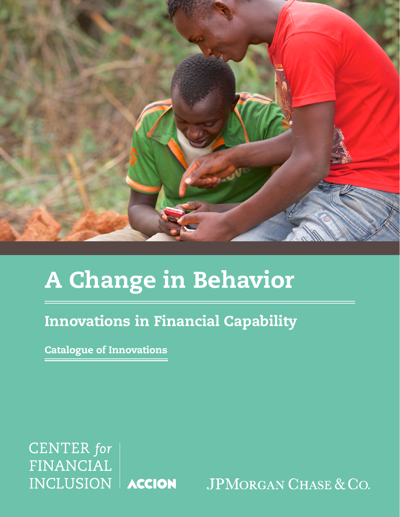

# A Change in Behavior

### Innovations in Financial Capability

Catalogue of Innovations

**CENTER** for **FINANCIAL** INCLUSION | ACCION

**JPMORGAN CHASE & CO.**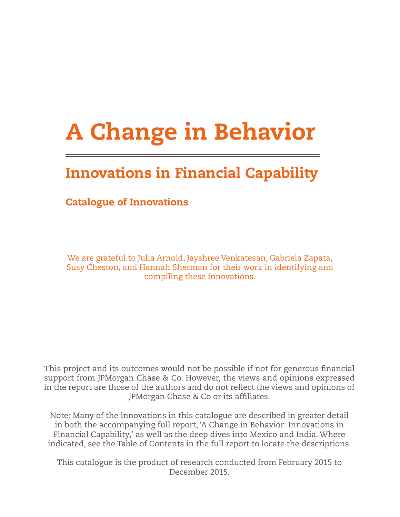## A Change in Behavior

## Innovations in Financial Capability

### Catalogue of Innovations

We are grateful to Julia Arnold, Jayshree Venkatesan, Gabriela Zapata, Susy Cheston, and Hannah Sherman for their work in identifying and compiling these innovations.

This project and its outcomes would not be possible if not for generous financial support from JPMorgan Chase & Co. However, the views and opinions expressed in the report are those of the authors and do not reflect the views and opinions of JPMorgan Chase & Co or its affiliates.

Note: Many of the innovations in this catalogue are described in greater detail in both the accompanying full report, 'A Change in Behavior: Innovations in Financial Capability,' as well as the deep dives into Mexico and India. Where indicated, see the Table of Contents in the full report to locate the descriptions.

This catalogue is the product of research conducted from February 2015 to December 2015.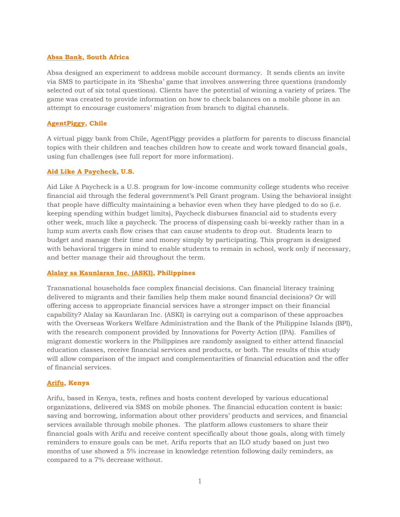#### **[Absa Bank,](http://www.absa.co.za/Absacoza) South Africa**

Absa designed an experiment to address mobile account dormancy. It sends clients an invite via SMS to participate in its 'Shesha' game that involves answering three questions (randomly selected out of six total questions). Clients have the potential of winning a variety of prizes. The game was created to provide information on how to check balances on a mobile phone in an attempt to encourage customers' migration from branch to digital channels.

#### **[AgentPiggy,](https://www.agentpiggy.com/) Chile**

A virtual piggy bank from Chile, AgentPiggy provides a platform for parents to discuss financial topics with their children and teaches children how to create and work toward financial goals, using fun challenges (see full report for more information).

#### **[Aid Like A](http://www.mdrc.org/project/aid-paycheck#overview) Paycheck, U.S.**

Aid Like A Paycheck is a U.S. program for low-income community college students who receive financial aid through the federal government's Pell Grant program. Using the behavioral insight that people have difficulty maintaining a behavior even when they have pledged to do so (i.e. keeping spending within budget limits), Paycheck disburses financial aid to students every other week, much like a paycheck. The process of dispensing cash bi-weekly rather than in a lump sum averts cash flow crises that can cause students to drop out. Students learn to budget and manage their time and money simply by participating. This program is designed with behavioral triggers in mind to enable students to remain in school, work only if necessary, and better manage their aid throughout the term.

#### **[Alalay sa Kaunlaran Inc. \(ASKI\),](https://www.poverty-action.org/sites/default/files/publications/building_evidence_on_financial_capability.pdf) Philippines**

Transnational households face complex financial decisions. Can financial literacy training delivered to migrants and their families help them make sound financial decisions? Or will offering access to appropriate financial services have a stronger impact on their financial capability? Alalay sa Kaunlaran Inc. (ASKI) is carrying out a comparison of these approaches with the Overseas Workers Welfare Administration and the Bank of the Philippine Islands (BPI), with the research component provided by Innovations for Poverty Action (IPA). Families of migrant domestic workers in the Philippines are randomly assigned to either attend financial education classes, receive financial services and products, or both. The results of this study will allow comparison of the impact and complementarities of financial education and the offer of financial services.

#### **[Arifu,](http://arifu.com/) Kenya**

Arifu, based in Kenya, tests, refines and hosts content developed by various educational organizations, delivered via SMS on mobile phones. The financial education content is basic: saving and borrowing, information about other providers' products and services, and financial services available through mobile phones. The platform allows customers to share their financial goals with Arifu and receive content specifically about those goals, along with timely reminders to ensure goals can be met. Arifu reports that an ILO study based on just two months of use showed a 5% increase in knowledge retention following daily reminders, as compared to a 7% decrease without.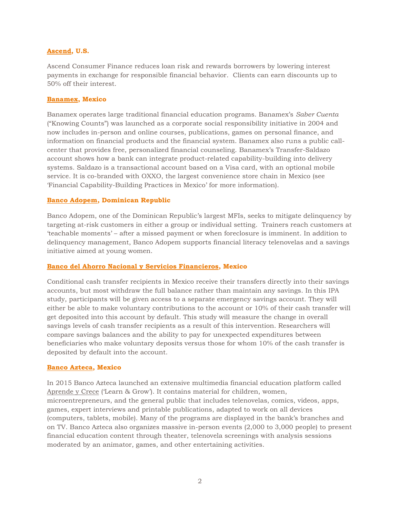#### **[Ascend,](https://www.ascendloan.com/) U.S.**

Ascend Consumer Finance reduces loan risk and rewards borrowers by lowering interest payments in exchange for responsible financial behavior. Clients can earn discounts up to 50% off their interest.

#### **[Banamex,](https://www.banamex.com/) Mexico**

Banamex operates large traditional financial education programs. Banamex's *Saber Cuenta* ("Knowing Counts") was launched as a corporate social responsibility initiative in 2004 and now includes in-person and online courses, publications, games on personal finance, and information on financial products and the financial system. Banamex also runs a public callcenter that provides free, personalized financial counseling. Banamex's Transfer-Saldazo account shows how a bank can integrate product-related capability-building into delivery systems. Saldazo is a transactional account based on a Visa card, with an optional mobile service. It is co-branded with OXXO, the largest convenience store chain in Mexico (see 'Financial Capability-Building Practices in Mexico' for more information).

#### **[Banco Adopem,](http://www.bancoadopem.com.do/app/do/frontpage.aspx) Dominican Republic**

Banco Adopem, one of the Dominican Republic's largest MFIs, seeks to mitigate delinquency by targeting at-risk customers in either a group or individual setting. Trainers reach customers at 'teachable moments' – after a missed payment or when foreclosure is imminent. In addition to delinquency management, Banco Adopem supports financial literacy telenovelas and a savings initiative aimed at young women.

#### **[Banco del Ahorro Nacional y Servicios Financieros,](https://www.poverty-action.org/sites/default/files/publications/building_evidence_on_financial_capability.pdf) Mexico**

Conditional cash transfer recipients in Mexico receive their transfers directly into their savings accounts, but most withdraw the full balance rather than maintain any savings. In this IPA study, participants will be given access to a separate emergency savings account. They will either be able to make voluntary contributions to the account or 10% of their cash transfer will get deposited into this account by default. This study will measure the change in overall savings levels of cash transfer recipients as a result of this intervention. Researchers will compare savings balances and the ability to pay for unexpected expenditures between beneficiaries who make voluntary deposits versus those for whom 10% of the cash transfer is deposited by default into the account.

#### **[Banco Azteca,](http://www.bancoazteca.com.mx/PortalBancoAzteca/inicio.do;jsessionid=46D90336AAFBF4F40C19F1270FF1D0A4.mx07_instance1?flash=true&as_sfid=AAAAAAUNLhujbYLpqZtGYd8OJ4t5cf0WyWFfZ6qHmzesxaRnfvKauGlfNTtdkozqVaUzgRUc9GZl73%2BcdIxvU%2FtUN%2Fj0SFzjLNLgXZKYZKdoh3DbvQ%3D%3D&as_fid=D%2FBM10NvH4TO6E6r73tQ) Mexico**

In 2015 Banco Azteca launched an extensive multimedia financial education platform called [Aprende y Crece](http://www.aprendeycrece.com/) ('Learn & Grow'). It contains material for children, women, microentrepreneurs, and the general public that includes telenovelas, comics, videos, apps, games, expert interviews and printable publications, adapted to work on all devices (computers, tablets, mobile). Many of the programs are displayed in the bank's branches and on TV. Banco Azteca also organizes massive in-person events (2,000 to 3,000 people) to present financial education content through theater, telenovela screenings with analysis sessions moderated by an animator, games, and other entertaining activities.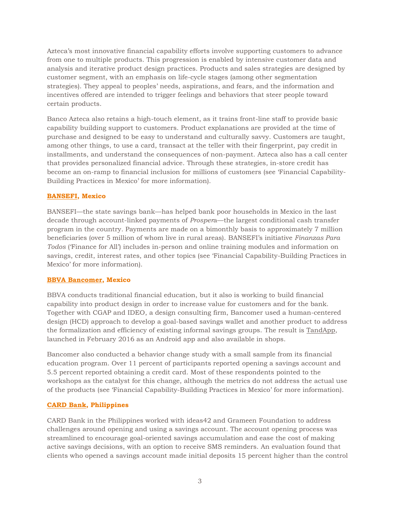Azteca's most innovative financial capability efforts involve supporting customers to advance from one to multiple products. This progression is enabled by intensive customer data and analysis and iterative product design practices. Products and sales strategies are designed by customer segment, with an emphasis on life-cycle stages (among other segmentation strategies). They appeal to peoples' needs, aspirations, and fears, and the information and incentives offered are intended to trigger feelings and behaviors that steer people toward certain products.

Banco Azteca also retains a high-touch element, as it trains front-line staff to provide basic capability building support to customers. Product explanations are provided at the time of purchase and designed to be easy to understand and culturally savvy. Customers are taught, among other things, to use a card, transact at the teller with their fingerprint, pay credit in installments, and understand the consequences of non-payment. Azteca also has a call center that provides personalized financial advice. Through these strategies, in-store credit has become an on-ramp to financial inclusion for millions of customers (see 'Financial Capability-Building Practices in Mexico' for more information).

#### **[BANSEFI,](http://www.bansefi.gob.mx/Pages/Inicio.aspx) Mexico**

BANSEFI—the state savings bank—has helped bank poor households in Mexico in the last decade through account-linked payments of *Prosper*a—the largest conditional cash transfer program in the country*.* Payments are made on a bimonthly basis to approximately 7 million beneficiaries (over 5 million of whom live in rural areas). BANSEFI's initiative *Finanzas Para Todos* ('Finance for All') includes in-person and online training modules and information on savings, credit, interest rates, and other topics (see 'Financial Capability-Building Practices in Mexico' for more information).

#### **[BBVA Bancomer,](https://www.bancomer.com/index.jsp) Mexico**

BBVA conducts traditional financial education, but it also is working to build financial capability into product design in order to increase value for customers and for the bank. Together with CGAP and IDEO, a design consulting firm, Bancomer used a human-centered design (HCD) approach to develop a goal-based savings wallet and another product to address the formalization and efficiency of existing informal savings groups. The result is [TandApp,](https://play.google.com/store/apps/details?id=com.bbva.tandapp&hl=en) launched in February 2016 as an Android app and also available in shops.

Bancomer also conducted a behavior change study with a small sample from its financial education program. Over 11 percent of participants reported opening a savings account and 5.5 percent reported obtaining a credit card. Most of these respondents pointed to the workshops as the catalyst for this change, although the metrics do not address the actual use of the products (see 'Financial Capability-Building Practices in Mexico' for more information).

#### **[CARD Bank,](http://cardbankph.com/) Philippines**

CARD Bank in the Philippines worked with ideas42 and Grameen Foundation to address challenges around opening and using a savings account. The account opening process was streamlined to encourage goal-oriented savings accumulation and ease the cost of making active savings decisions, with an option to receive SMS reminders. An evaluation found that clients who opened a savings account made initial deposits 15 percent higher than the control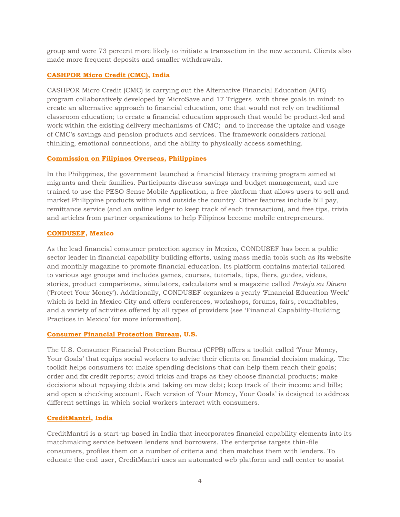group and were 73 percent more likely to initiate a transaction in the new account. Clients also made more frequent deposits and smaller withdrawals.

#### **[CASHPOR Micro Credit \(CMC\),](http://www.microsave.net/files/pdf/Alternate_Financial_Education_Project_2014.pdf) India**

CASHPOR Micro Credit (CMC) is carrying out the Alternative Financial Education (AFE) program collaboratively developed by MicroSave and 17 Triggers with three goals in mind: to create an alternative approach to financial education, one that would not rely on traditional classroom education; to create a financial education approach that would be product-led and work within the existing delivery mechanisms of CMC; and to increase the uptake and usage of CMC's savings and pension products and services. The framework considers rational thinking, emotional connections, and the ability to physically access something.

#### **[Commission on Filipinos Overseas,](http://www.cfo.gov.ph/index.php?option=com_content&view=article&id=2882:be-an-online-entrepreneur-through-the-free-peso-sense-mobile-application-&catid=108:cfo-press-release&Itemid=839) Philippines**

In the Philippines, the government launched a financial literacy training program aimed at migrants and their families. Participants discuss savings and budget management, and are trained to use the PESO Sense Mobile Application, a free platform that allows users to sell and market Philippine products within and outside the country. Other features include bill pay, remittance service (and an online ledger to keep track of each transaction), and free tips, trivia and articles from partner organizations to help Filipinos become mobile entrepreneurs.

#### **[CONDUSEF,](http://www.condusef.gob.mx/) Mexico**

As the lead financial consumer protection agency in Mexico, CONDUSEF has been a public sector leader in financial capability building efforts, using mass media tools such as its website and monthly magazine to promote financial education. Its platform contains material tailored to various age groups and includes games, courses, tutorials, tips, fliers, guides, videos, stories, product comparisons, simulators, calculators and a magazine called *Proteja su Dinero* ('Protect Your Money'). Additionally, CONDUSEF organizes a yearly 'Financial Education Week' which is held in Mexico City and offers conferences, workshops, forums, fairs, roundtables, and a variety of activities offered by all types of providers (see 'Financial Capability-Building Practices in Mexico' for more information).

#### **[Consumer Financial Protection Bureau,](http://www.consumerfinance.gov/your-money-your-goals/) U.S.**

The U.S. Consumer Financial Protection Bureau (CFPB) offers a toolkit called 'Your Money, Your Goals' that equips social workers to advise their clients on financial decision making. The toolkit helps consumers to: make spending decisions that can help them reach their goals; order and fix credit reports; avoid tricks and traps as they choose financial products; make decisions about repaying debts and taking on new debt; keep track of their income and bills; and open a checking account. Each version of 'Your Money, Your Goals' is designed to address different settings in which social workers interact with consumers.

#### **[CreditMantri,](https://www.creditmantri.com/) India**

CreditMantri is a start-up based in India that incorporates financial capability elements into its matchmaking service between lenders and borrowers. The enterprise targets thin-file consumers, profiles them on a number of criteria and then matches them with lenders. To educate the end user, CreditMantri uses an automated web platform and call center to assist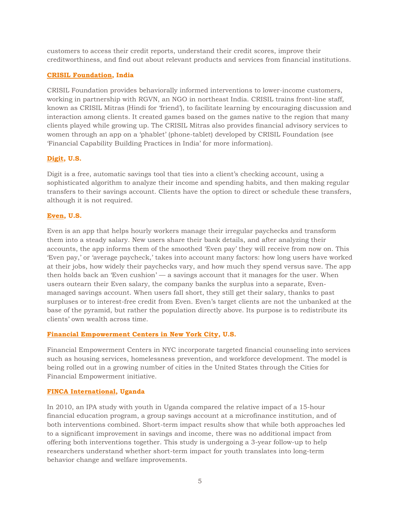customers to access their credit reports, understand their credit scores, improve their creditworthiness, and find out about relevant products and services from financial institutions.

#### **[CRISIL Foundation,](http://www.crisil.com/about-crisil/corporate-social.html) India**

CRISIL Foundation provides behaviorally informed interventions to lower-income customers, working in partnership with RGVN, an NGO in northeast India. CRISIL trains front-line staff, known as CRISIL Mitras (Hindi for 'friend'), to facilitate learning by encouraging discussion and interaction among clients. It created games based on the games native to the region that many clients played while growing up. The CRISIL Mitras also provides financial advisory services to women through an app on a 'phablet' (phone-tablet) developed by CRISIL Foundation (see 'Financial Capability Building Practices in India' for more information).

#### **[Digit,](https://digit.co/) U.S.**

Digit is a free, automatic savings tool that ties into a client's checking account, using a sophisticated algorithm to analyze their income and spending habits, and then making regular transfers to their savings account. Clients have the option to direct or schedule these transfers, although it is not required.

#### **[Even,](https://even.me/) U.S.**

Even is an app that helps hourly workers manage their irregular paychecks and transform them into a steady salary. New users share their bank details, and after analyzing their accounts, the app informs them of the smoothed 'Even pay' they will receive from now on. This 'Even pay,' or 'average paycheck,' takes into account many factors: how long users have worked at their jobs, how widely their paychecks vary, and how much they spend versus save. The app then holds back an 'Even cushion' — a savings account that it manages for the user. When users outearn their Even salary, the company banks the surplus into a separate, Evenmanaged savings account. When users fall short, they still get their salary, thanks to past surpluses or to interest-free credit from Even. Even's target clients are not the unbanked at the base of the pyramid, but rather the population directly above. Its purpose is to redistribute its clients' own wealth across time.

#### **[Financial Empowerment Centers in New York City,](http://www.cfefund.org/info/our-projects#financial-empowerment-center-replication-initiative) U.S.**

Financial Empowerment Centers in NYC incorporate targeted financial counseling into services such as housing services, homelessness prevention, and workforce development. The model is being rolled out in a growing number of cities in the United States through the Cities for Financial Empowerment initiative.

#### **FINCA [International,](http://www.poverty-action.org/study/rules-thumb-providing-timely-useful-financial-management-advice-scale) Uganda**

In 2010, an IPA study with youth in Uganda compared the relative impact of a 15-hour financial education program, a group savings account at a microfinance institution, and of both interventions combined. Short-term impact results show that while both approaches led to a significant improvement in savings and income, there was no additional impact from offering both interventions together. This study is undergoing a 3-year follow-up to help researchers understand whether short-term impact for youth translates into long-term behavior change and welfare improvements.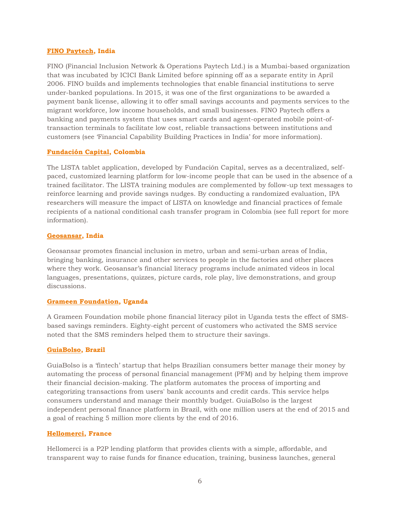#### **[FINO Paytech,](http://www.finopaytech.com/) India**

FINO (Financial Inclusion Network & Operations Paytech Ltd.) is a Mumbai-based organization that was incubated by ICICI Bank Limited before spinning off as a separate entity in April 2006. FINO builds and implements technologies that enable financial institutions to serve under-banked populations. In 2015, it was one of the first organizations to be awarded a payment bank license, allowing it to offer small savings accounts and payments services to the migrant workforce, low income households, and small businesses. FINO Paytech offers a banking and payments system that uses smart cards and agent-operated mobile point-oftransaction terminals to facilitate low cost, reliable transactions between institutions and customers (see 'Financial Capability Building Practices in India' for more information).

#### **[Fundación](http://www.poverty-action.org/study/tablet-based-financial-education) Capital, Colombia**

The LISTA tablet application, developed by Fundación Capital, serves as a decentralized, selfpaced, customized learning platform for low-income people that can be used in the absence of a trained facilitator. The LISTA training modules are complemented by follow-up text messages to reinforce learning and provide savings nudges. By conducting a randomized evaluation, IPA researchers will measure the impact of LISTA on knowledge and financial practices of female recipients of a national conditional cash transfer program in Colombia (see full report for more information).

#### **[Geosansar,](http://geosansar.com/finliteracy.php) India**

Geosansar promotes financial inclusion in metro, urban and semi-urban areas of India, bringing banking, insurance and other services to people in the factories and other places where they work. Geosansar's financial literacy programs include animated videos in local languages, presentations, quizzes, picture cards, role play, live demonstrations, and group discussions.

#### **[Grameen Foundation,](http://www.grameenfoundation.org/resource/financial-literacy-pilot-report) Uganda**

A Grameen Foundation mobile phone financial literacy pilot in Uganda tests the effect of SMSbased savings reminders. Eighty-eight percent of customers who activated the SMS service noted that the SMS reminders helped them to structure their savings.

#### **[GuiaBolso,](https://www.guiabolso.com.br/) Brazil**

GuiaBolso is a 'fintech' startup that helps Brazilian consumers better manage their money by automating the process of personal financial management (PFM) and by helping them improve their financial decision-making. The platform automates the process of importing and categorizing transactions from users' bank accounts and credit cards. This service helps consumers understand and manage their monthly budget. GuiaBolso is the largest independent personal finance platform in Brazil, with one million users at the end of 2015 and a goal of reaching 5 million more clients by the end of 2016.

#### **[Hellomerci,](https://www.hellomerci.com/en) France**

Hellomerci is a P2P lending platform that provides clients with a simple, affordable, and transparent way to raise funds for finance education, training, business launches, general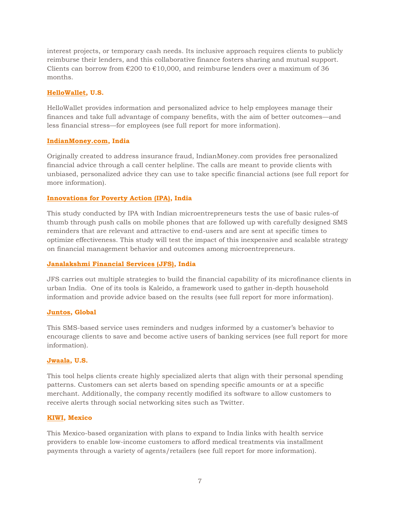interest projects, or temporary cash needs. Its inclusive approach requires clients to publicly reimburse their lenders, and this collaborative finance fosters sharing and mutual support. Clients can borrow from  $\epsilon$ 200 to  $\epsilon$ 10,000, and reimburse lenders over a maximum of 36 months.

#### **[HelloWallet,](http://www.hellowallet.com/) U.S.**

HelloWallet provides information and personalized advice to help employees manage their finances and take full advantage of company benefits, with the aim of better outcomes—and less financial stress—for employees (see full report for more information).

#### **[IndianMoney.](http://indianmoney.com/)com, India**

Originally created to address insurance fraud, IndianMoney.com provides free personalized financial advice through a call center helpline. The calls are meant to provide clients with unbiased, personalized advice they can use to take specific financial actions (see full report for more information).

#### **[Innovations for Poverty Action \(IPA\),](http://www.poverty-action.org/study/rules-thumb-providing-timely-useful-financial-management-advice-scale) India**

This study conducted by IPA with Indian microentrepreneurs tests the use of basic rules-of thumb through push calls on mobile phones that are followed up with carefully designed SMS reminders that are relevant and attractive to end-users and are sent at specific times to optimize effectiveness. This study will test the impact of this inexpensive and scalable strategy on financial management behavior and outcomes among microentrepreneurs.

#### **[Janalakshmi Financial Services \(JFS\),](http://www.janalakshmi.com/) India**

JFS carries out multiple strategies to build the financial capability of its microfinance clients in urban India. One of its tools is Kaleido, a framework used to gather in-depth household information and provide advice based on the results (see full report for more information).

#### **[Juntos,](http://juntosglobal.com/) Global**

This SMS-based service uses reminders and nudges informed by a customer's behavior to encourage clients to save and become active users of banking services (see full report for more information).

#### **[Jwaala,](http://www.jwaala.com/) U.S.**

This tool helps clients create highly specialized alerts that align with their personal spending patterns. Customers can set alerts based on spending specific amounts or at a specific merchant. Additionally, the company recently modified its software to allow customers to receive alerts through social networking sites such as Twitter.

#### **[KIWI,](https://www.usekiwi.com/) Mexico**

This Mexico-based organization with plans to expand to India links with health service providers to enable low-income customers to afford medical treatments via installment payments through a variety of agents/retailers (see full report for more information).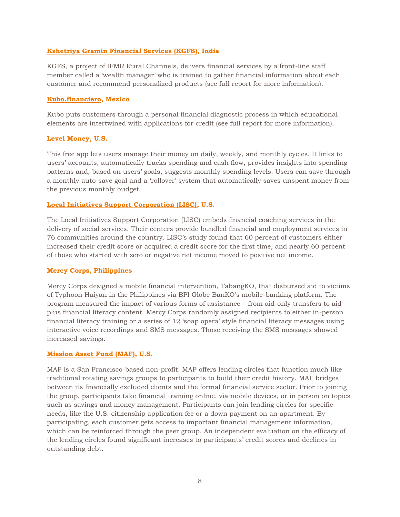#### **[Kshetriya Gramin Financial Services \(KGFS\),](http://ruralchannels.ifmr.co.in/kgfs-model/about-kgfs) India**

KGFS, a project of IFMR Rural Channels, delivers financial services by a front-line staff member called a 'wealth manager' who is trained to gather financial information about each customer and recommend personalized products (see full report for more information).

#### **[Kubo.financiero,](https://www.kubofinanciero.com/Kubo/Portal/index.xhtml) Mexico**

Kubo puts customers through a personal financial diagnostic process in which educational elements are intertwined with applications for credit (see full report for more information).

#### **[Level Money,](https://www.levelmoney.com/) U.S.**

This free app lets users manage their money on daily, weekly, and monthly cycles. It links to users' accounts, automatically tracks spending and cash flow, provides insights into spending patterns and, based on users' goals, suggests monthly spending levels. Users can save through a monthly auto-save goal and a 'rollover' system that automatically saves unspent money from the previous monthly budget.

#### **[Local Initiatives Support Corporation \(LISC\),](http://www.lisc.org/) U.S.**

The Local Initiatives Support Corporation (LISC) embeds financial coaching services in the delivery of social services. Their centers provide bundled financial and employment services in 76 communities around the country. LISC's study found that 60 percent of customers either increased their credit score or acquired a credit score for the first time, and nearly 60 percent of those who started with zero or negative net income moved to positive net income.

#### **[Mercy Corps,](https://www.mercycorps.org/sites/default/files/PhilippinesFactSheet.pdf) Philippines**

Mercy Corps designed a mobile financial intervention, TabangKO, that disbursed aid to victims of Typhoon Haiyan in the Philippines via BPI Globe BanKO's mobile-banking platform. The program measured the impact of various forms of assistance – from aid-only transfers to aid plus financial literacy content. Mercy Corps randomly assigned recipients to either in-person financial literacy training or a series of 12 'soap opera' style financial literacy messages using interactive voice recordings and SMS messages. Those receiving the SMS messages showed increased savings.

#### **[Mission Asset Fund \(MAF\),](http://missionassetfund.org/) U.S.**

MAF is a San Francisco-based non-profit. MAF offers lending circles that function much like traditional rotating savings groups to participants to build their credit history. MAF bridges between its financially excluded clients and the formal financial service sector. Prior to joining the group, participants take financial training online, via mobile devices, or in person on topics such as savings and money management. Participants can join lending circles for specific needs, like the U.S. citizenship application fee or a down payment on an apartment. By participating, each customer gets access to important financial management information, which can be reinforced through the peer group. An independent evaluation on the efficacy of the lending circles found significant increases to participants' credit scores and declines in outstanding debt.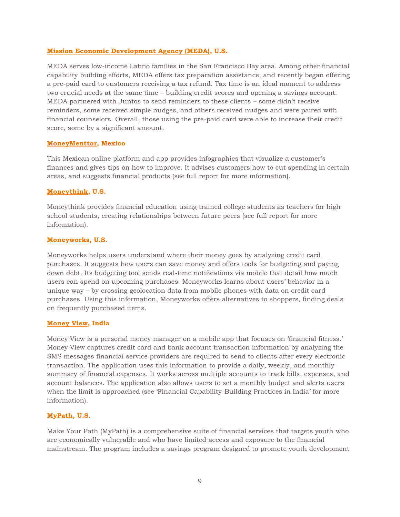#### **[Mission Economic Development Agency \(MEDA\),](http://medasf.org/) U.S.**

MEDA serves low-income Latino families in the San Francisco Bay area. Among other financial capability building efforts, MEDA offers tax preparation assistance, and recently began offering a pre-paid card to customers receiving a tax refund. Tax time is an ideal moment to address two crucial needs at the same time – building credit scores and opening a savings account. MEDA partnered with Juntos to send reminders to these clients – some didn't receive reminders, some received simple nudges, and others received nudges and were paired with financial counselors. Overall, those using the pre-paid card were able to increase their credit score, some by a significant amount.

#### **[MoneyMenttor,](https://www.crunchbase.com/organization/moneymenttor#/entity) Mexico**

This Mexican online platform and app provides infographics that visualize a customer's finances and gives tips on how to improve. It advises customers how to cut spending in certain areas, and suggests financial products (see full report for more information).

#### **[Moneythink,](http://moneythink.org/) U.S.**

Moneythink provides financial education using trained college students as teachers for high school students, creating relationships between future peers (see full report for more information).

#### **[Moneyworks,](https://www.getmoneyworks.com/) U.S.**

Moneyworks helps users understand where their money goes by analyzing credit card purchases. It suggests how users can save money and offers tools for budgeting and paying down debt. Its budgeting tool sends real-time notifications via mobile that detail how much users can spend on upcoming purchases. Moneyworks learns about users' behavior in a unique way – by crossing geolocation data from mobile phones with data on credit card purchases. Using this information, Moneyworks offers alternatives to shoppers, finding deals on frequently purchased items.

#### **[Money View,](http://moneyview.in/) India**

Money View is a personal money manager on a mobile app that focuses on 'financial fitness.' Money View captures credit card and bank account transaction information by analyzing the SMS messages financial service providers are required to send to clients after every electronic transaction. The application uses this information to provide a daily, weekly, and monthly summary of financial expenses. It works across multiple accounts to track bills, expenses, and account balances. The application also allows users to set a monthly budget and alerts users when the limit is approached (see 'Financial Capability-Building Practices in India' for more information).

#### **[MyPath,](http://mypathus.org/) U.S.**

Make Your Path (MyPath) is a comprehensive suite of financial services that targets youth who are economically vulnerable and who have limited access and exposure to the financial mainstream. The program includes a savings program designed to promote youth development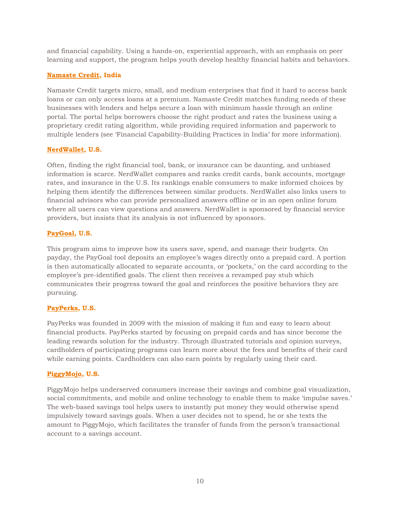and financial capability. Using a hands-on, experiential approach, with an emphasis on peer learning and support, the program helps youth develop healthy financial habits and behaviors.

#### **[Namaste Credit,](https://www.namastecredit.com/) India**

Namaste Credit targets micro, small, and medium enterprises that find it hard to access bank loans or can only access loans at a premium. Namaste Credit matches funding needs of these businesses with lenders and helps secure a loan with minimum hassle through an online portal. The portal helps borrowers choose the right product and rates the business using a proprietary credit rating algorithm, while providing required information and paperwork to multiple lenders (see 'Financial Capability-Building Practices in India' for more information).

#### **[NerdWallet,](https://www.nerdwallet.com/) U.S.**

Often, finding the right financial tool, bank, or insurance can be daunting, and unbiased information is scarce. NerdWallet compares and ranks credit cards, bank accounts, mortgage rates, and insurance in the U.S. Its rankings enable consumers to make informed choices by helping them identify the differences between similar products. NerdWallet also links users to financial advisors who can provide personalized answers offline or in an open online forum where all users can view questions and answers. NerdWallet is sponsored by financial service providers, but insists that its analysis is not influenced by sponsors.

#### **[PayGoal,](http://join.paygoal.co/) U.S.**

This program aims to improve how its users save, spend, and manage their budgets. On payday, the PayGoal tool deposits an employee's wages directly onto a prepaid card. A portion is then automatically allocated to separate accounts, or 'pockets,' on the card according to the employee's pre-identified goals. The client then receives a revamped pay stub which communicates their progress toward the goal and reinforces the positive behaviors they are pursuing.

#### **[PayPerks,](https://www.payperks.com/) U.S.**

PayPerks was founded in 2009 with the mission of making it fun and easy to learn about financial products. PayPerks started by focusing on prepaid cards and has since become the leading rewards solution for the industry. Through illustrated tutorials and opinion surveys, cardholders of participating programs can learn more about the fees and benefits of their card while earning points. Cardholders can also earn points by regularly using their card.

#### **[PiggyMojo,](https://www.piggymojo.com/) U.S.**

PiggyMojo helps underserved consumers increase their savings and combine goal visualization, social commitments, and mobile and online technology to enable them to make 'impulse saves.' The web-based savings tool helps users to instantly put money they would otherwise spend impulsively toward savings goals. When a user decides not to spend, he or she texts the amount to PiggyMojo, which facilitates the transfer of funds from the person's transactional account to a savings account.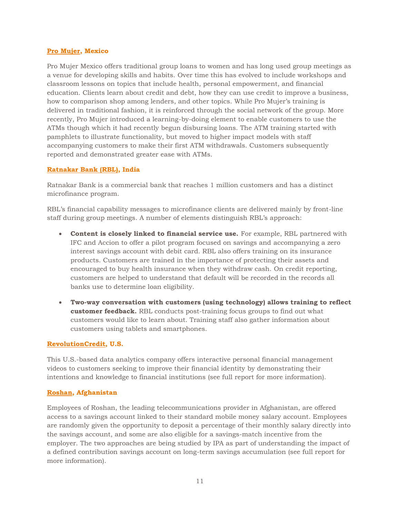#### **[Pro Mujer,](http://promujer.org/where-we-work/mexico/) Mexico**

Pro Mujer Mexico offers traditional group loans to women and has long used group meetings as a venue for developing skills and habits. Over time this has evolved to include workshops and classroom lessons on topics that include health, personal empowerment, and financial education. Clients learn about credit and debt, how they can use credit to improve a business, how to comparison shop among lenders, and other topics. While Pro Mujer's training is delivered in traditional fashion, it is reinforced through the social network of the group. More recently, Pro Mujer introduced a learning-by-doing element to enable customers to use the ATMs though which it had recently begun disbursing loans. The ATM training started with pamphlets to illustrate functionality, but moved to higher impact models with staff accompanying customers to make their first ATM withdrawals. Customers subsequently reported and demonstrated greater ease with ATMs.

#### **[Ratnakar Bank \(RBL\),](http://www.rblbank.com/) India**

Ratnakar Bank is a commercial bank that reaches 1 million customers and has a distinct microfinance program.

RBL's financial capability messages to microfinance clients are delivered mainly by front-line staff during group meetings. A number of elements distinguish RBL's approach:

- **Content is closely linked to financial service use.** For example, RBL partnered with IFC and Accion to offer a pilot program focused on savings and accompanying a zero interest savings account with debit card. RBL also offers training on its insurance products. Customers are trained in the importance of protecting their assets and encouraged to buy health insurance when they withdraw cash. On credit reporting, customers are helped to understand that default will be recorded in the records all banks use to determine loan eligibility.
- **Two-way conversation with customers (using technology) allows training to reflect customer feedback.** RBL conducts post-training focus groups to find out what customers would like to learn about. Training staff also gather information about customers using tablets and smartphones.

#### **[RevolutionCredit,](http://revolutioncredit.com/) U.S.**

This U.S.-based data analytics company offers interactive personal financial management videos to customers seeking to improve their financial identity by demonstrating their intentions and knowledge to financial institutions (see full report for more information).

#### **[Roshan,](https://www.poverty-action.org/sites/default/files/publications/building_evidence_on_financial_capability.pdf) Afghanistan**

Employees of Roshan, the leading telecommunications provider in Afghanistan, are offered access to a savings account linked to their standard mobile money salary account. Employees are randomly given the opportunity to deposit a percentage of their monthly salary directly into the savings account, and some are also eligible for a savings-match incentive from the employer. The two approaches are being studied by IPA as part of understanding the impact of a defined contribution savings account on long-term savings accumulation (see full report for more information).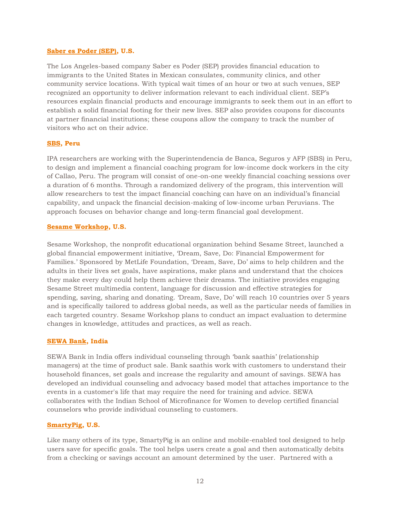#### **[Saber es Poder \(SEP\),](https://www.saberespoder.com/) U.S.**

The Los Angeles-based company Saber es Poder (SEP) provides financial education to immigrants to the United States in Mexican consulates, community clinics, and other community service locations. With typical wait times of an hour or two at such venues, SEP recognized an opportunity to deliver information relevant to each individual client. SEP's resources explain financial products and encourage immigrants to seek them out in an effort to establish a solid financial footing for their new lives. SEP also provides coupons for discounts at partner financial institutions; these coupons allow the company to track the number of visitors who act on their advice.

#### **[SBS,](https://www.poverty-action.org/sites/default/files/publications/building_evidence_on_financial_capability.pdf) Peru**

IPA researchers are working with the Superintendencia de Banca, Seguros y AFP (SBS) in Peru, to design and implement a financial coaching program for low-income dock workers in the city of Callao, Peru. The program will consist of one-on-one weekly financial coaching sessions over a duration of 6 months. Through a randomized delivery of the program, this intervention will allow researchers to test the impact financial coaching can have on an individual's financial capability, and unpack the financial decision-making of low-income urban Peruvians. The approach focuses on behavior change and long-term financial goal development.

#### **[Sesame Workshop,](http://www.sesameworkshop.org/what-we-do/our-initiatives/dream-save-do/) U.S.**

Sesame Workshop, the nonprofit educational organization behind Sesame Street, launched a global financial empowerment initiative, 'Dream, Save, Do: Financial Empowerment for Families.' Sponsored by MetLife Foundation, 'Dream, Save, Do' aims to help children and the adults in their lives set goals, have aspirations, make plans and understand that the choices they make every day could help them achieve their dreams. The initiative provides engaging Sesame Street multimedia content, language for discussion and effective strategies for spending, saving, sharing and donating. 'Dream, Save, Do' will reach 10 countries over 5 years and is specifically tailored to address global needs, as well as the particular needs of families in each targeted country. Sesame Workshop plans to conduct an impact evaluation to determine changes in knowledge, attitudes and practices, as well as reach.

#### **[SEWA Bank,](http://www.sewabank.com/) India**

SEWA Bank in India offers individual counseling through 'bank saathis' (relationship managers) at the time of product sale. Bank saathis work with customers to understand their household finances, set goals and increase the regularity and amount of savings. SEWA has developed an individual counseling and advocacy based model that attaches importance to the events in a customer's life that may require the need for training and advice. SEWA collaborates with the Indian School of Microfinance for Women to develop certified financial counselors who provide individual counseling to customers.

#### **[SmartyPig,](https://www.smartypig.com/) U.S.**

Like many others of its type, SmartyPig is an online and mobile-enabled tool designed to help users save for specific goals. The tool helps users create a goal and then automatically debits from a checking or savings account an amount determined by the user. Partnered with a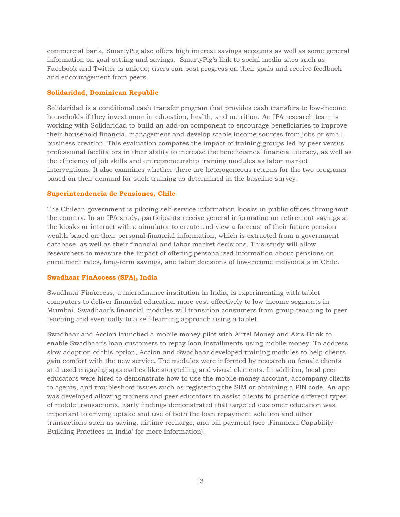commercial bank, SmartyPig also offers high interest savings accounts as well as some general information on goal-setting and savings. SmartyPig's link to social media sites such as Facebook and Twitter is unique; users can post progress on their goals and receive feedback and encouragement from peers.

#### **[Solidaridad,](https://www.poverty-action.org/sites/default/files/publications/building_evidence_on_financial_capability.pdf) Dominican Republic**

Solidaridad is a conditional cash transfer program that provides cash transfers to low-income households if they invest more in education, health, and nutrition. An IPA research team is working with Solidaridad to build an add-on component to encourage beneficiaries to improve their household financial management and develop stable income sources from jobs or small business creation. This evaluation compares the impact of training groups led by peer versus professional facilitators in their ability to increase the beneficiaries' financial literacy, as well as the efficiency of job skills and entrepreneurship training modules as labor market interventions. It also examines whether there are heterogeneous returns for the two programs based on their demand for such training as determined in the baseline survey.

#### **[Superintendencia de Pensiones,](https://www.poverty-action.org/sites/default/files/publications/building_evidence_on_financial_capability.pdf) Chile**

The Chilean government is piloting self-service information kiosks in public offices throughout the country. In an IPA study, participants receive general information on retirement savings at the kiosks or interact with a simulator to create and view a forecast of their future pension wealth based on their personal financial information, which is extracted from a government database, as well as their financial and labor market decisions. This study will allow researchers to measure the impact of offering personalized information about pensions on enrollment rates, long-term savings, and labor decisions of low-income individuals in Chile.

#### **[Swadhaar FinAccess \(SFA\),](http://www.swadhaar.org/savings.html) India**

Swadhaar FinAccess, a microfinance institution in India, is experimenting with tablet computers to deliver financial education more cost-effectively to low-income segments in Mumbai. Swadhaar's financial modules will transition consumers from group teaching to peer teaching and eventually to a self-learning approach using a tablet.

Swadhaar and Accion launched a mobile money pilot with Airtel Money and Axis Bank to enable Swadhaar's loan customers to repay loan installments using mobile money. To address slow adoption of this option, Accion and Swadhaar developed training modules to help clients gain comfort with the new service. The modules were informed by research on female clients and used engaging approaches like storytelling and visual elements. In addition, local peer educators were hired to demonstrate how to use the mobile money account, accompany clients to agents, and troubleshoot issues such as registering the SIM or obtaining a PIN code. An app was developed allowing trainers and peer educators to assist clients to practice different types of mobile transactions. Early findings demonstrated that targeted customer education was important to driving uptake and use of both the loan repayment solution and other transactions such as saving, airtime recharge, and bill payment (see ;Financial Capability-Building Practices in India' for more information).